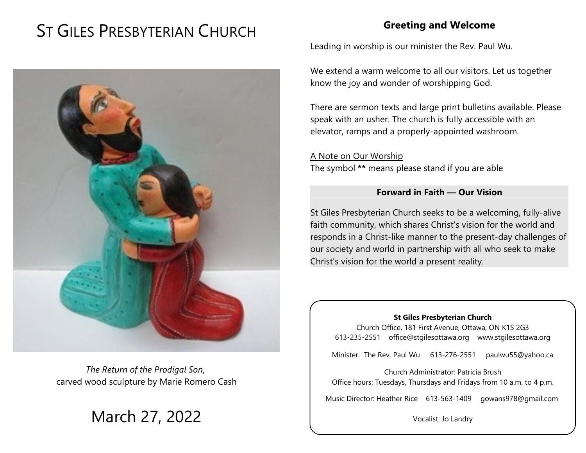# ST GILES PRESBYTERIAN CHURCH



*The Return of the Prodigal Son*, carved wood sculpture by Marie Romero Cash

# March 27, 2022

## **Greeting and Welcome**

Leading in worship is our minister the Rev. Paul Wu.

We extend a warm welcome to all our visitors. Let us together know the joy and wonder of worshipping God.

There are sermon texts and large print bulletins available. Please speak with an usher. The church is fully accessible with an elevator, ramps and a properly-appointed washroom.

A Note on Our Worship The symbol **\*\*** means please stand if you are able

## **Forward in Faith — Our Vision**

St Giles Presbyterian Church seeks to be a welcoming, fully-alive faith community, which shares Christ's vision for the world and responds in a Christ-like manner to the present-day challenges of our society and world in partnership with all who seek to make Christ's vision for the world a present reality.

**St Giles Presbyterian Church**

Church Office, 181 First Avenue, Ottawa, ON K1S 2G3 613-235-2551 office@stgilesottawa.org www.stgilesottawa.org

Minister: The Rev. Paul Wu 613-276-2551 paulwu55@yahoo.ca

Church Administrator: Patricia Brush Office hours: Tuesdays, Thursdays and Fridays from 10 a.m. to 4 p.m.

Music Director: Heather Rice 613-563-1409 gowans978@gmail.com

Vocalist: Jo Landry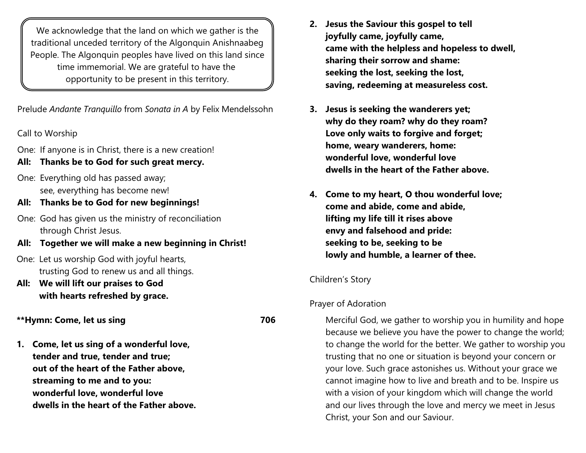We acknowledge that the land on which we gather is the traditional unceded territory of the Algonquin Anishnaabeg People. The Algonquin peoples have lived on this land since time immemorial. We are grateful to have the opportunity to be present in this territory.

Prelude *Andante Tranquillo* from *Sonata in A* by Felix Mendelssohn

Call to Worship

One: If anyone is in Christ, there is a new creation!

## **All: Thanks be to God for such great mercy.**

- One: Everything old has passed away; see, everything has become new!
- **All: Thanks be to God for new beginnings!**
- One: God has given us the ministry of reconciliation through Christ Jesus.
- **All: Together we will make a new beginning in Christ!**
- One: Let us worship God with joyful hearts, trusting God to renew us and all things.
- **All: We will lift our praises to God with hearts refreshed by grace.**

## **\*\*Hymn: Come, let us sing 706**

**1. Come, let us sing of a wonderful love, tender and true, tender and true; out of the heart of the Father above, streaming to me and to you: wonderful love, wonderful love dwells in the heart of the Father above.**

- **2. Jesus the Saviour this gospel to tell joyfully came, joyfully came, came with the helpless and hopeless to dwell, sharing their sorrow and shame: seeking the lost, seeking the lost, saving, redeeming at measureless cost.**
- **3. Jesus is seeking the wanderers yet; why do they roam? why do they roam? Love only waits to forgive and forget; home, weary wanderers, home: wonderful love, wonderful love dwells in the heart of the Father above.**
- **4. Come to my heart, O thou wonderful love; come and abide, come and abide, lifting my life till it rises above envy and falsehood and pride: seeking to be, seeking to be lowly and humble, a learner of thee.**

## Children's Story

## Prayer of Adoration

Merciful God, we gather to worship you in humility and hope because we believe you have the power to change the world; to change the world for the better. We gather to worship you trusting that no one or situation is beyond your concern or your love. Such grace astonishes us. Without your grace we cannot imagine how to live and breath and to be. Inspire us with a vision of your kingdom which will change the world and our lives through the love and mercy we meet in Jesus Christ, your Son and our Saviour.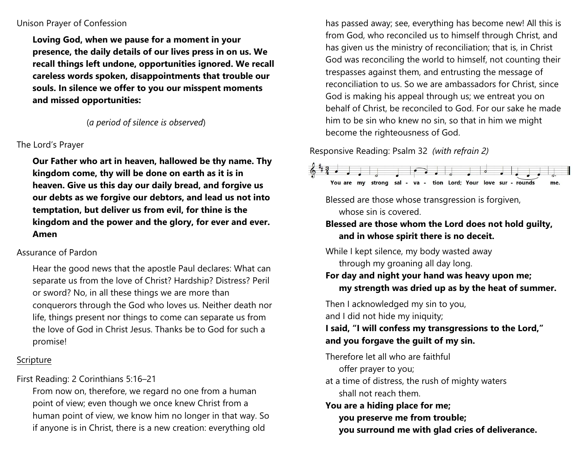## Unison Prayer of Confession

**Loving God, when we pause for a moment in your presence, the daily details of our lives press in on us. We recall things left undone, opportunities ignored. We recall careless words spoken, disappointments that trouble our souls. In silence we offer to you our misspent moments and missed opportunities:**

## (*a period of silence is observed*)

#### The Lord's Prayer

**Our Father who art in heaven, hallowed be thy name. Thy kingdom come, thy will be done on earth as it is in heaven. Give us this day our daily bread, and forgive us our debts as we forgive our debtors, and lead us not into temptation, but deliver us from evil, for thine is the kingdom and the power and the glory, for ever and ever. Amen**

## Assurance of Pardon

Hear the good news that the apostle Paul declares: What can separate us from the love of Christ? Hardship? Distress? Peril or sword? No, in all these things we are more than conquerors through the God who loves us. Neither death nor life, things present nor things to come can separate us from the love of God in Christ Jesus. Thanks be to God for such a promise!

## Scripture

First Reading: 2 Corinthians 5:16–21

From now on, therefore, we regard no one from a human point of view; even though we once knew Christ from a human point of view, we know him no longer in that way. So if anyone is in Christ, there is a new creation: everything old

has passed away; see, everything has become new! All this is from God, who reconciled us to himself through Christ, and has given us the ministry of reconciliation; that is, in Christ God was reconciling the world to himself, not counting their trespasses against them, and entrusting the message of reconciliation to us. So we are ambassadors for Christ, since God is making his appeal through us; we entreat you on behalf of Christ, be reconciled to God. For our sake he made him to be sin who knew no sin, so that in him we might become the righteousness of God.

## Responsive Reading: Psalm 32 *(with refrain 2)*



Blessed are those whose transgression is forgiven, whose sin is covered.

## **Blessed are those whom the Lord does not hold guilty, and in whose spirit there is no deceit.**

While I kept silence, my body wasted away through my groaning all day long.

## **For day and night your hand was heavy upon me; my strength was dried up as by the heat of summer.**

Then I acknowledged my sin to you, and I did not hide my iniquity;

# **I said, "I will confess my transgressions to the Lord," and you forgave the guilt of my sin.**

Therefore let all who are faithful offer prayer to you; at a time of distress, the rush of mighty waters shall not reach them. **You are a hiding place for me; you preserve me from trouble; you surround me with glad cries of deliverance.**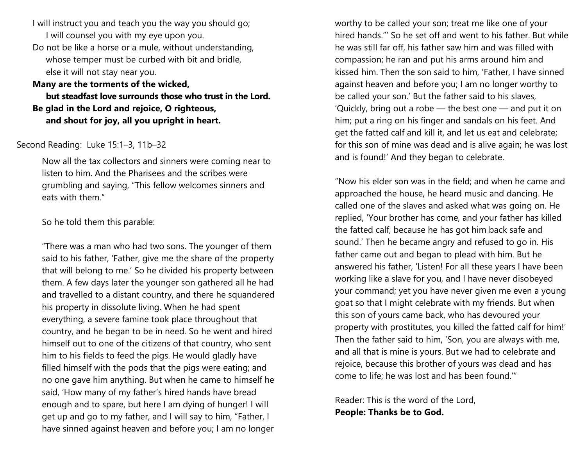- I will instruct you and teach you the way you should go; I will counsel you with my eye upon you.
- Do not be like a horse or a mule, without understanding, whose temper must be curbed with bit and bridle, else it will not stay near you.

**Many are the torments of the wicked, but steadfast love surrounds those who trust in the Lord. Be glad in the Lord and rejoice, O righteous, and shout for joy, all you upright in heart.**

#### Second Reading: Luke 15:1–3, 11b–32

Now all the tax collectors and sinners were coming near to listen to him. And the Pharisees and the scribes were grumbling and saying, "This fellow welcomes sinners and eats with them."

#### So he told them this parable:

"There was a man who had two sons. The younger of them said to his father, 'Father, give me the share of the property that will belong to me.' So he divided his property between them. A few days later the younger son gathered all he had and travelled to a distant country, and there he squandered his property in dissolute living. When he had spent everything, a severe famine took place throughout that country, and he began to be in need. So he went and hired himself out to one of the citizens of that country, who sent him to his fields to feed the pigs. He would gladly have filled himself with the pods that the pigs were eating; and no one gave him anything. But when he came to himself he said, 'How many of my father's hired hands have bread enough and to spare, but here I am dying of hunger! I will get up and go to my father, and I will say to him, "Father, I have sinned against heaven and before you; I am no longer worthy to be called your son; treat me like one of your hired hands."' So he set off and went to his father. But while he was still far off, his father saw him and was filled with compassion; he ran and put his arms around him and kissed him. Then the son said to him, 'Father, I have sinned against heaven and before you; I am no longer worthy to be called your son.' But the father said to his slaves, 'Quickly, bring out a robe — the best one — and put it on him; put a ring on his finger and sandals on his feet. And get the fatted calf and kill it, and let us eat and celebrate; for this son of mine was dead and is alive again; he was lost and is found!' And they began to celebrate.

"Now his elder son was in the field; and when he came and approached the house, he heard music and dancing. He called one of the slaves and asked what was going on. He replied, 'Your brother has come, and your father has killed the fatted calf, because he has got him back safe and sound.' Then he became angry and refused to go in. His father came out and began to plead with him. But he answered his father, 'Listen! For all these years I have been working like a slave for you, and I have never disobeyed your command; yet you have never given me even a young goat so that I might celebrate with my friends. But when this son of yours came back, who has devoured your property with prostitutes, you killed the fatted calf for him!' Then the father said to him, 'Son, you are always with me, and all that is mine is yours. But we had to celebrate and rejoice, because this brother of yours was dead and has come to life; he was lost and has been found.'"

Reader: This is the word of the Lord, **People: Thanks be to God.**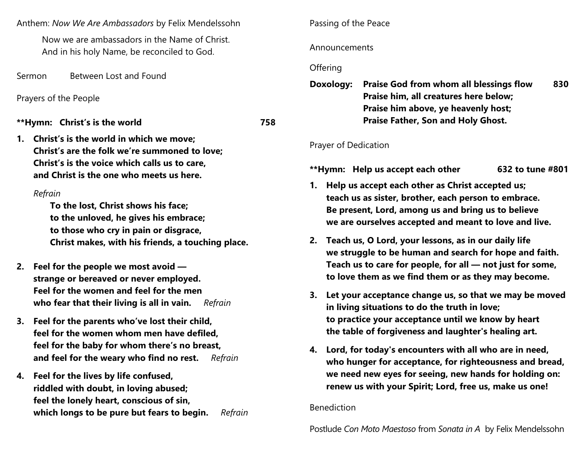| Anthem: Now We Are Ambassadors by Felix Mendelssohn                                          |
|----------------------------------------------------------------------------------------------|
| Now we are ambassadors in the Name of Christ.<br>And in his holy Name, be reconciled to God. |
|                                                                                              |

Sermon Between Lost and Found

Prayers of the People

**\*\*Hymn: Christ's is the world 758**

**1. Christ's is the world in which we move; Christ's are the folk we're summoned to love; Christ's is the voice which calls us to care, and Christ is the one who meets us here.** 

*Refrain*

**To the lost, Christ shows his face; to the unloved, he gives his embrace; to those who cry in pain or disgrace, Christ makes, with his friends, a touching place.**

- **2. Feel for the people we most avoid strange or bereaved or never employed. Feel for the women and feel for the men who fear that their living is all in vain.** *Refrain*
- **3. Feel for the parents who've lost their child, feel for the women whom men have defiled, feel for the baby for whom there's no breast, and feel for the weary who find no rest.** *Refrain*
- **4. Feel for the lives by life confused, riddled with doubt, in loving abused; feel the lonely heart, conscious of sin, which longs to be pure but fears to begin.** *Refrain*

Passing of the Peace

Announcements

## **Offering**

**Doxology: Praise God from whom all blessings flow 830 Praise him, all creatures here below; Praise him above, ye heavenly host; Praise Father, Son and Holy Ghost.**

## Prayer of Dedication

**\*\*Hymn: Help us accept each other 632 to tune #801**

- **1. Help us accept each other as Christ accepted us; teach us as sister, brother, each person to embrace. Be present, Lord, among us and bring us to believe we are ourselves accepted and meant to love and live.**
- **2. Teach us, O Lord, your lessons, as in our daily life we struggle to be human and search for hope and faith. Teach us to care for people, for all — not just for some, to love them as we find them or as they may become.**
- **3. Let your acceptance change us, so that we may be moved in living situations to do the truth in love; to practice your acceptance until we know by heart the table of forgiveness and laughter's healing art.**
- **4. Lord, for today's encounters with all who are in need, who hunger for acceptance, for righteousness and bread, we need new eyes for seeing, new hands for holding on: renew us with your Spirit; Lord, free us, make us one!**

#### Benediction

Postlude *Con Moto Maestoso* from *Sonata in A* by Felix Mendelssohn